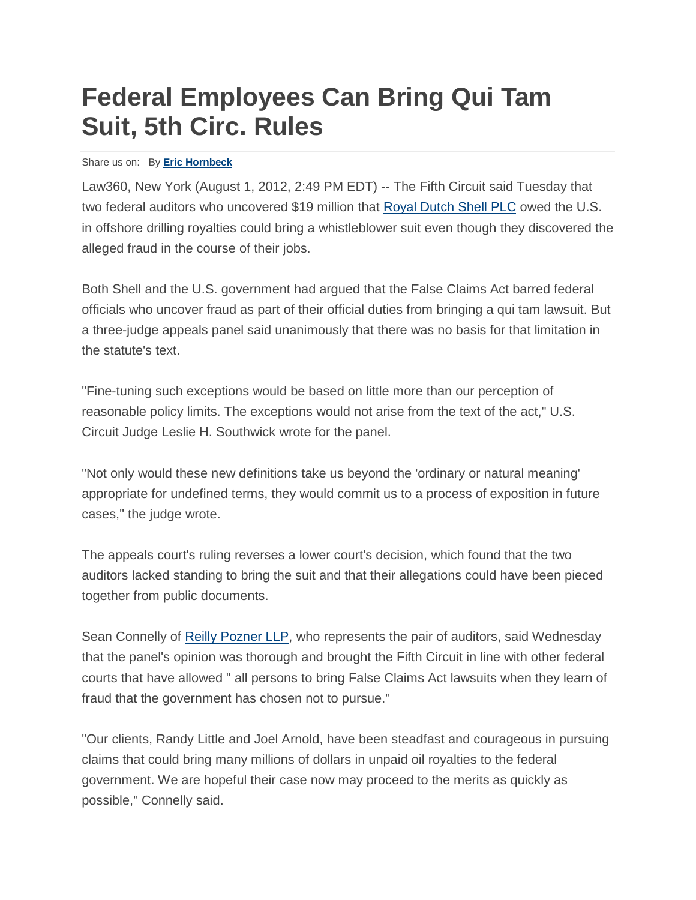## **Federal Employees Can Bring Qui Tam Suit, 5th Circ. Rules**

## Share us on: By **Eric [Hornbeck](https://www.law360.com/articles/365692/federal-employees-can-bring-qui-tam-suit-5th-circ-rules)**

Law360, New York (August 1, 2012, 2:49 PM EDT) -- The Fifth Circuit said Tuesday that two federal auditors who uncovered \$19 million that [Royal Dutch Shell PLC](https://www.law360.com/companies/royal-dutch-shell-plc) owed the U.S. in offshore drilling royalties could bring a whistleblower suit even though they discovered the alleged fraud in the course of their jobs.

Both Shell and the U.S. government had argued that the False Claims Act barred federal officials who uncover fraud as part of their official duties from bringing a qui tam lawsuit. But a three-judge appeals panel said unanimously that there was no basis for that limitation in the statute's text.

"Fine-tuning such exceptions would be based on little more than our perception of reasonable policy limits. The exceptions would not arise from the text of the act," U.S. Circuit Judge Leslie H. Southwick wrote for the panel.

"Not only would these new definitions take us beyond the 'ordinary or natural meaning' appropriate for undefined terms, they would commit us to a process of exposition in future cases," the judge wrote.

The appeals court's ruling reverses a lower court's decision, which found that the two auditors lacked standing to bring the suit and that their allegations could have been pieced together from public documents.

Sean Connelly of [Reilly Pozner LLP,](https://www.law360.com/firms/reilly-pozner) who represents the pair of auditors, said Wednesday that the panel's opinion was thorough and brought the Fifth Circuit in line with other federal courts that have allowed " all persons to bring False Claims Act lawsuits when they learn of fraud that the government has chosen not to pursue."

"Our clients, Randy Little and Joel Arnold, have been steadfast and courageous in pursuing claims that could bring many millions of dollars in unpaid oil royalties to the federal government. We are hopeful their case now may proceed to the merits as quickly as possible," Connelly said.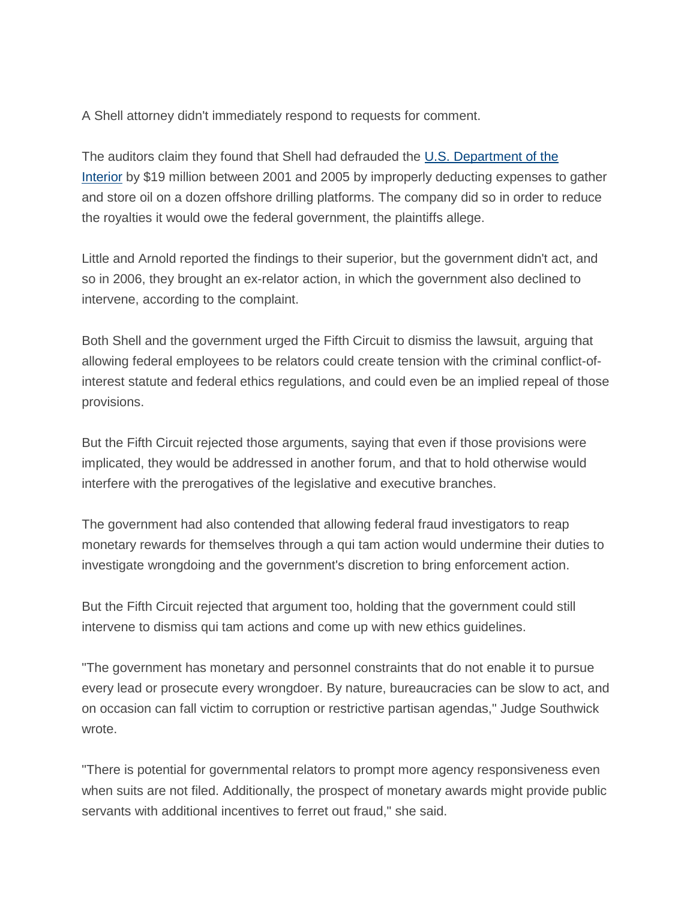A Shell attorney didn't immediately respond to requests for comment.

The auditors claim they found that Shell had defrauded the [U.S. Department of the](https://www.law360.com/agencies/u-s-department-of-the-interior)  [Interior](https://www.law360.com/agencies/u-s-department-of-the-interior) by \$19 million between 2001 and 2005 by improperly deducting expenses to gather and store oil on a dozen offshore drilling platforms. The company did so in order to reduce the royalties it would owe the federal government, the plaintiffs allege.

Little and Arnold reported the findings to their superior, but the government didn't act, and so in 2006, they brought an ex-relator action, in which the government also declined to intervene, according to the complaint.

Both Shell and the government urged the Fifth Circuit to dismiss the lawsuit, arguing that allowing federal employees to be relators could create tension with the criminal conflict-ofinterest statute and federal ethics regulations, and could even be an implied repeal of those provisions.

But the Fifth Circuit rejected those arguments, saying that even if those provisions were implicated, they would be addressed in another forum, and that to hold otherwise would interfere with the prerogatives of the legislative and executive branches.

The government had also contended that allowing federal fraud investigators to reap monetary rewards for themselves through a qui tam action would undermine their duties to investigate wrongdoing and the government's discretion to bring enforcement action.

But the Fifth Circuit rejected that argument too, holding that the government could still intervene to dismiss qui tam actions and come up with new ethics guidelines.

"The government has monetary and personnel constraints that do not enable it to pursue every lead or prosecute every wrongdoer. By nature, bureaucracies can be slow to act, and on occasion can fall victim to corruption or restrictive partisan agendas," Judge Southwick wrote.

"There is potential for governmental relators to prompt more agency responsiveness even when suits are not filed. Additionally, the prospect of monetary awards might provide public servants with additional incentives to ferret out fraud," she said.